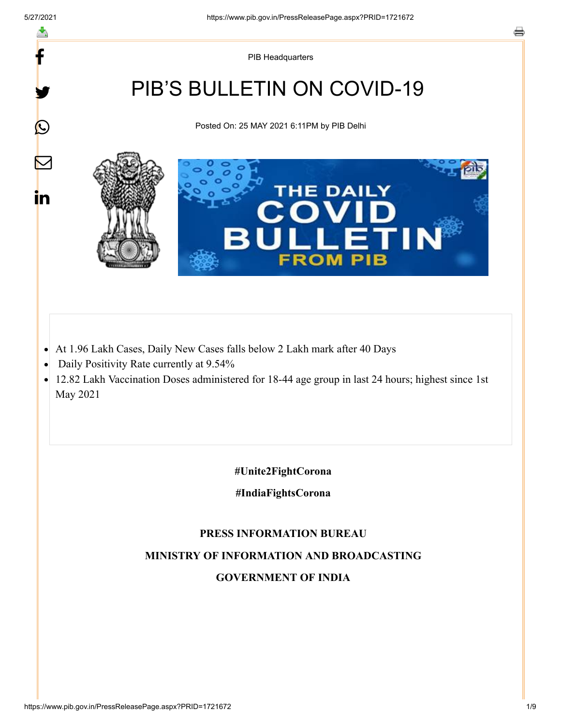f

y.

 $\boldsymbol{Q}$ 

 $\color{red} \nabla$ 

in

PIB Headquarters

# PIB'S BULLETIN ON COVID-19

Posted On: 25 MAY 2021 6:11PM by PIB Delhi



- At 1.96 Lakh Cases, Daily New Cases falls below 2 Lakh mark after 40 Days
- Daily Positivity Rate currently at 9.54%  $\bullet$
- 12.82 Lakh Vaccination Doses administered for 18-44 age group in last 24 hours; highest since 1st May 2021

**#Unite2FightCorona**

**#IndiaFightsCorona**

#### **PRESS INFORMATION BUREAU**

**MINISTRY OF INFORMATION AND BROADCASTING**

#### **GOVERNMENT OF INDIA**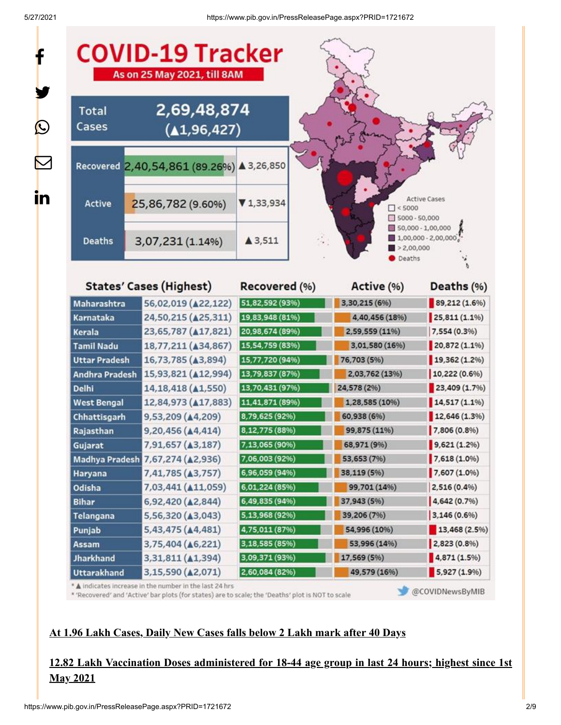| <b>COVID-19 Tracker</b><br>As on 25 May 2021, till 8AM |                                           |                   |                                       |                                                                                                                                                                                            |
|--------------------------------------------------------|-------------------------------------------|-------------------|---------------------------------------|--------------------------------------------------------------------------------------------------------------------------------------------------------------------------------------------|
| <b>Total</b><br>Cases                                  | 2,69,48,874<br>(41, 96, 427)              |                   |                                       |                                                                                                                                                                                            |
|                                                        | Recovered 2,40,54,861 (89.26%) ▲ 3,26,850 |                   |                                       |                                                                                                                                                                                            |
| <b>Active</b>                                          | 25,86,782 (9.60%)                         | ▼1,33,934         | $\Box$ < 5000<br>$\Box$ 5000 - 50,000 | <b>Active Cases</b>                                                                                                                                                                        |
| <b>Deaths</b>                                          | 3,07,231 (1.14%)                          | $\triangle$ 3,511 | >2,00,000<br>Deaths                   | 50,000 - 1,00,000<br>$1,00,000 - 2,00,000$                                                                                                                                                 |
|                                                        | <b>States' Cases (Highest)</b>            | Recovered (%)     | Active (%)                            | Deaths (%)                                                                                                                                                                                 |
| Maharashtra                                            | 56,02,019 (422,122)                       | 51,82,592 (93%)   | 3,30,215 (6%)                         | 89,212 (1.6%)                                                                                                                                                                              |
| Karnataka                                              | 24,50,215 ( $\triangle$ 25,311)           | 19,83,948 (81%)   | 4,40,456 (18%)                        | 25,811(1.1%                                                                                                                                                                                |
| Kerala                                                 | 23,65,787 ( $\triangle$ 17,821)           | 20,98,674 (89%)   | 2,59,559 (11%)                        | 7,554 (0.3%)                                                                                                                                                                               |
| <b>Tamil Nadu</b>                                      | 18,77,211 ( $\triangle$ 34,867)           | 15,54,759 (83%)   | 3,01,580 (16%)                        | $20,872(1.1\%)$                                                                                                                                                                            |
| <b>Uttar Pradesh</b>                                   | 16,73,785 ( $\triangle$ 3,894)            | 15,77,720 (94%)   | 76,703 (5%)                           | 19,362 (1.2%)                                                                                                                                                                              |
|                                                        |                                           |                   |                                       |                                                                                                                                                                                            |
| Andhra Pradesh                                         | 15,93,821 ( $\triangle$ 12,994)           | 13,79,837 (87%)   | 2,03,762 (13%)                        |                                                                                                                                                                                            |
| <b>Delhi</b>                                           | 14, 18, 418 ( $\triangle$ 1, 550)         | 13,70,431 (97%)   | 24,578 (2%)                           |                                                                                                                                                                                            |
| <b>West Bengal</b>                                     | 12,84,973 ( $\triangle$ 17,883)           | 11,41,871 (89%)   | 1,28,585 (10%)                        | 10,222(0.6%<br>23,409(1.7%)<br>14,517(1.1%                                                                                                                                                 |
| Chhattisgarh                                           | 9,53,209 (44,209)                         | 8,79,625 (92%)    | 60,938 (6%)                           |                                                                                                                                                                                            |
| Rajasthan                                              | 9,20,456 (44,414)                         | 8,12,775 (88%)    | 99,875 (11%)                          |                                                                                                                                                                                            |
| Gujarat                                                | 7,91,657 (A3,187)                         | 7,13,065 (90%)    | 68,971 (9%)                           |                                                                                                                                                                                            |
|                                                        | Madhya Pradesh 7,67,274 (A2,936)          | 7,06,003 (92%)    | 53,653 (7%)                           |                                                                                                                                                                                            |
| Haryana                                                | 7,41,785 (43,757)                         | 6,96,059 (94%)    | 38,119 (5%)                           |                                                                                                                                                                                            |
| Odisha                                                 | 7,03,441 ( $\triangle$ 11,059)            | 6,01,224 (85%)    | 99,701 (14%)                          |                                                                                                                                                                                            |
| <b>Bihar</b>                                           | 6,92,420 (42,844)                         | 6,49,835 (94%)    | 37,943 (5%)                           |                                                                                                                                                                                            |
| Telangana                                              | 5,56,320 (43,043)                         | 5,13,968 (92%)    | 39,206 (7%)                           |                                                                                                                                                                                            |
| Punjab                                                 | 5,43,475 (44,481)                         | 4,75,011 (87%)    | 54,996 (10%)                          |                                                                                                                                                                                            |
| Assam                                                  | 3,75,404 ( $\triangle$ 6,221)             | 3,18,585 (85%)    | 53,996 (14%)                          |                                                                                                                                                                                            |
| <b>Jharkhand</b>                                       | 3,31,811 (41,394)<br>3,15,590 (A2,071)    | 3,09,371 (93%).   | 17,569 (5%)                           | 12,646(1.3%)<br>7,806 (0.8%)<br>9,621(1.2%)<br>7,618 (1.0%)<br>7,607 (1.0%)<br>$2,516(0.4\%)$<br>4,642 (0.7%)<br>3,146(0.6%)<br>13,468 (2.5%)<br>2,823(0.8%)<br>4,871(1.5%)<br>5,927(1.9%) |

\* 'Recovered' and 'Active' bar plots (for states) are to scale; the 'Deaths' plot is NOT to scale

#### @COVIDNewsByMIB

#### **At 1.96 Lakh Cases, Daily New Cases falls below 2 Lakh mark after 40 Days**

## **12.82 Lakh Vaccination Doses administered for 18-44 age group in last 24 hours; highest since 1st May 2021**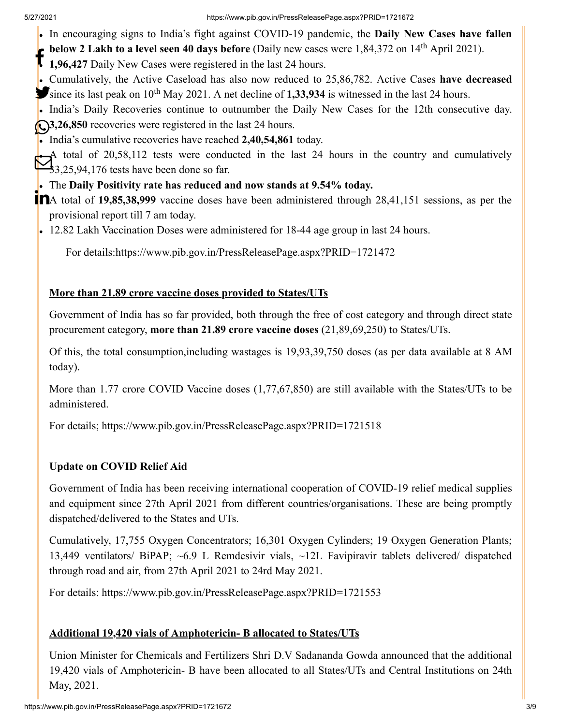- In encouraging signs to India's fight against COVID-19 pandemic, the **Daily New Cases have fallen**
- **below 2 Lakh to a level seen 40 days before** (Daily new cases were 1,84,372 on 14<sup>th</sup> April 2021).
- **1,96,427** Daily New Cases were registered in the last 24 hours.
- Cumulatively, the Active Caseload has also now reduced to 25,86,782. Active Cases **have decreased** since its last peak on 10<sup>th</sup> May 2021. A net decline of **1,33,934** is witnessed in the last 24 hours.
- India's Daily Recoveries continue to outnumber the Daily New Cases for the 12th consecutive day. **3,26,850** recoveries were registered in the last 24 hours.
- India's cumulative recoveries have reached **2,40,54,861** today.

A total of 20,58,112 tests were conducted in the last 24 hours in the country and cumulatively  $\sum_{3,25,94,176}^{1}$  total of 20,58,112 tests were conducted.

#### The **Daily Positivity rate has reduced and now stands at 9.54% today.**

**T** A total of 19,85,38,999 vaccine doses have been administered through 28,41,151 sessions, as per the provisional report till 7 am today.

• 12.82 Lakh Vaccination Doses were administered for 18-44 age group in last 24 hours.

For details[:https://www.pib.gov.in/PressReleasePage.aspx?PRID=1721472](https://www.pib.gov.in/PressReleasePage.aspx?PRID=1721472)

#### **More than 21.89 crore vaccine doses provided to States/UTs**

Government of India has so far provided, both through the free of cost category and through direct state procurement category, **more than 21.89 crore vaccine doses** (21,89,69,250) to States/UTs.

Of this, the total consumption,including wastages is 19,93,39,750 doses (as per data available at 8 AM today).

More than 1.77 crore COVID Vaccine doses (1,77,67,850) are still available with the States/UTs to be administered.

For details;<https://www.pib.gov.in/PressReleasePage.aspx?PRID=1721518>

### **Update on COVID Relief Aid**

Government of India has been receiving international cooperation of COVID-19 relief medical supplies and equipment since 27th April 2021 from different countries/organisations. These are being promptly dispatched/delivered to the States and UTs.

Cumulatively, 17,755 Oxygen Concentrators; 16,301 Oxygen Cylinders; 19 Oxygen Generation Plants; 13,449 ventilators/ BiPAP; ~6.9 L Remdesivir vials, ~12L Favipiravir tablets delivered/ dispatched through road and air, from 27th April 2021 to 24rd May 2021.

For details:<https://www.pib.gov.in/PressReleasePage.aspx?PRID=1721553>

### **Additional 19,420 vials of Amphotericin- B allocated to States/UTs**

Union Minister for Chemicals and Fertilizers Shri D.V Sadananda Gowda announced that the additional 19,420 vials of Amphotericin- B have been allocated to all States/UTs and Central Institutions on 24th May, 2021.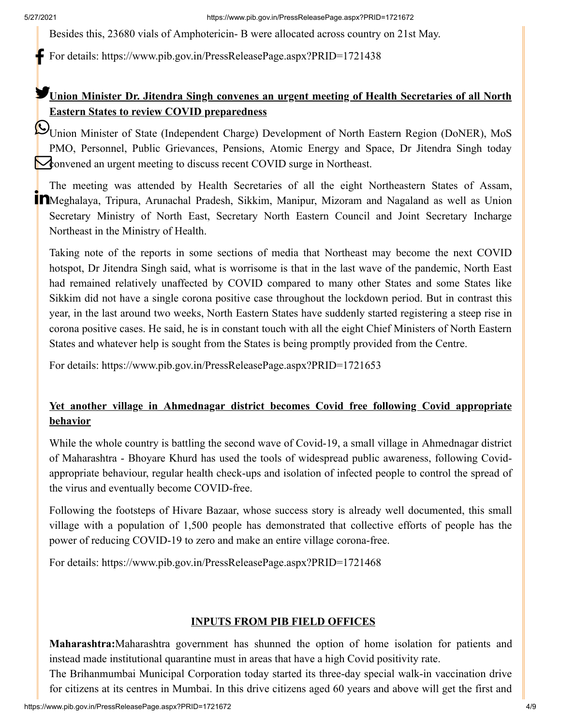Besides this, 23680 vials of Amphotericin- B were allocated across country on 21st May.

For details:<https://www.pib.gov.in/PressReleasePage.aspx?PRID=1721438>

## **Union Minister Dr. Jitendra Singh convenes an urgent meeting of Health Secretaries of all North Eastern States to review COVID preparedness**

Union Minister of State (Independent Charge) Development of North Eastern Region (DoNER), MoS PMO, Personnel, Public Grievances, Pensions, Atomic Energy and Space, Dr Jitendra Singh today **Convened an urgent meeting to discuss recent COVID surge in Northeast.** 

The meeting was attended by Health Secretaries of all the eight Northeastern States of Assam, Meghalaya, Tripura, Arunachal Pradesh, Sikkim, Manipur, Mizoram and Nagaland as well as Union Secretary Ministry of North East, Secretary North Eastern Council and Joint Secretary Incharge Northeast in the Ministry of Health.

Taking note of the reports in some sections of media that Northeast may become the next COVID hotspot, Dr Jitendra Singh said, what is worrisome is that in the last wave of the pandemic, North East had remained relatively unaffected by COVID compared to many other States and some States like Sikkim did not have a single corona positive case throughout the lockdown period. But in contrast this year, in the last around two weeks, North Eastern States have suddenly started registering a steep rise in corona positive cases. He said, he is in constant touch with all the eight Chief Ministers of North Eastern States and whatever help is sought from the States is being promptly provided from the Centre.

For details:<https://www.pib.gov.in/PressReleasePage.aspx?PRID=1721653>

### **Yet another village in Ahmednagar district becomes Covid free following Covid appropriate behavior**

While the whole country is battling the second wave of Covid-19, a small village in Ahmednagar district of Maharashtra - Bhoyare Khurd has used the tools of widespread public awareness, following Covidappropriate behaviour, regular health check-ups and isolation of infected people to control the spread of the virus and eventually become COVID-free.

Following the footsteps of Hivare Bazaar, whose success story is already well documented, this small village with a population of 1,500 people has demonstrated that collective efforts of people has the power of reducing COVID-19 to zero and make an entire village corona-free.

For details:<https://www.pib.gov.in/PressReleasePage.aspx?PRID=1721468>

#### **INPUTS FROM PIB FIELD OFFICES**

**Maharashtra:**Maharashtra government has shunned the option of home isolation for patients and instead made institutional quarantine must in areas that have a high Covid positivity rate.

The Brihanmumbai Municipal Corporation today started its three-day special walk-in vaccination drive for citizens at its centres in Mumbai. In this drive citizens aged 60 years and above will get the first and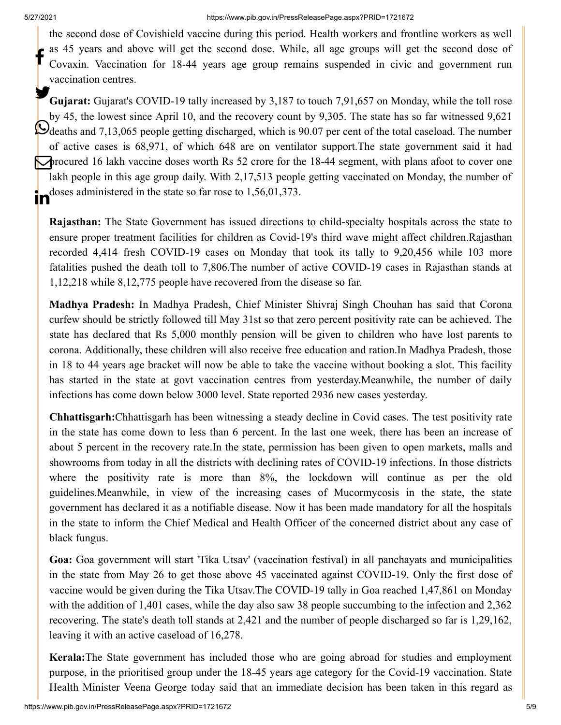the second dose of Covishield vaccine during this period. Health workers and frontline workers as well as 45 years and above will get the second dose. While, all age groups will get the second dose of Covaxin. Vaccination for 18-44 years age group remains suspended in civic and government run vaccination centres. f

**Gujarat:** Gujarat's COVID-19 tally increased by 3,187 to touch 7,91,657 on Monday, while the toll rose by 45, the lowest since April 10, and the recovery count by 9,305. The state has so far witnessed 9,621 deaths and 7,13,065 people getting discharged, which is 90.07 per cent of the total caseload. The number of active cases is 68,971, of which 648 are on ventilator support.The state government said it had procured 16 lakh vaccine doses worth Rs 52 crore for the 18-44 segment, with plans afoot to cover one lakh people in this age group daily. With 2,17,513 people getting vaccinated on Monday, the number of doses administered in the state so far rose to 1,56,01,373. ın

**Rajasthan:** The State Government has issued directions to child-specialty hospitals across the state to ensure proper treatment facilities for children as Covid-19's third wave might affect children.Rajasthan recorded 4,414 fresh COVID-19 cases on Monday that took its tally to 9,20,456 while 103 more fatalities pushed the death toll to 7,806.The number of active COVID-19 cases in Rajasthan stands at 1,12,218 while 8,12,775 people have recovered from the disease so far.

**Madhya Pradesh:** In Madhya Pradesh, Chief Minister Shivraj Singh Chouhan has said that Corona curfew should be strictly followed till May 31st so that zero percent positivity rate can be achieved. The state has declared that Rs 5,000 monthly pension will be given to children who have lost parents to corona. Additionally, these children will also receive free education and ration.In Madhya Pradesh, those in 18 to 44 years age bracket will now be able to take the vaccine without booking a slot. This facility has started in the state at govt vaccination centres from yesterday.Meanwhile, the number of daily infections has come down below 3000 level. State reported 2936 new cases yesterday.

**Chhattisgarh:**Chhattisgarh has been witnessing a steady decline in Covid cases. The test positivity rate in the state has come down to less than 6 percent. In the last one week, there has been an increase of about 5 percent in the recovery rate.In the state, permission has been given to open markets, malls and showrooms from today in all the districts with declining rates of COVID-19 infections. In those districts where the positivity rate is more than 8%, the lockdown will continue as per the old guidelines.Meanwhile, in view of the increasing cases of Mucormycosis in the state, the state government has declared it as a notifiable disease. Now it has been made mandatory for all the hospitals in the state to inform the Chief Medical and Health Officer of the concerned district about any case of black fungus.

**Goa:** Goa government will start 'Tika Utsav' (vaccination festival) in all panchayats and municipalities in the state from May 26 to get those above 45 vaccinated against COVID-19. Only the first dose of vaccine would be given during the Tika Utsav.The COVID-19 tally in Goa reached 1,47,861 on Monday with the addition of 1,401 cases, while the day also saw 38 people succumbing to the infection and 2,362 recovering. The state's death toll stands at 2,421 and the number of people discharged so far is 1,29,162, leaving it with an active caseload of 16,278.

**Kerala:**The State government has included those who are going abroad for studies and employment purpose, in the prioritised group under the 18-45 years age category for the Covid-19 vaccination. State Health Minister Veena George today said that an immediate decision has been taken in this regard as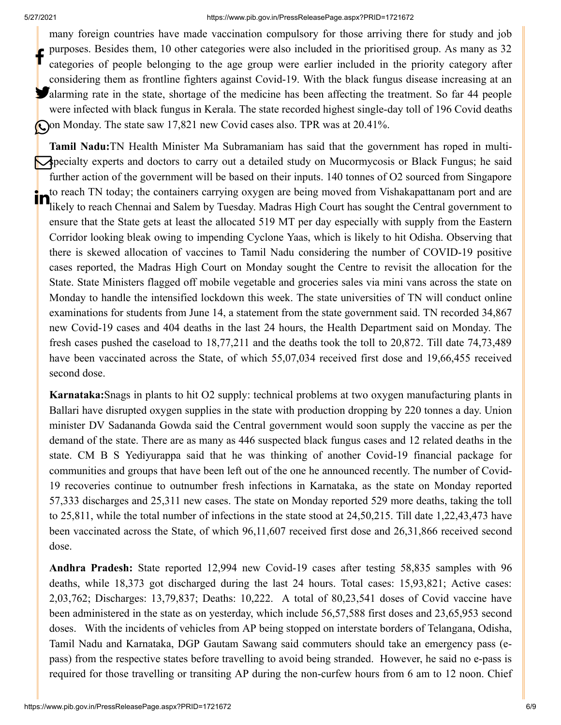#### 5/27/2021 https://www.pib.gov.in/PressReleasePage.aspx?PRID=1721672

many foreign countries have made vaccination compulsory for those arriving there for study and job purposes. Besides them, 10 other categories were also included in the prioritised group. As many as 32 categories of people belonging to the age group were earlier included in the priority category after considering them as frontline fighters against Covid-19. With the black fungus disease increasing at an **Malarming rate in the state, shortage of the medicine has been affecting the treatment. So far 44 people** were infected with black fungus in Kerala. The state recorded highest single-day toll of 196 Covid deaths Oon Monday. The state saw 17,821 new Covid cases also. TPR was at 20.41%. f

**Tamil Nadu:**TN Health Minister Ma Subramaniam has said that the government has roped in multispecialty experts and doctors to carry out a detailed study on Mucormycosis or Black Fungus; he said further action of the government will be based on their inputs. 140 tonnes of O2 sourced from Singapore to reach TN today; the containers carrying oxygen are being moved from Vishakapattanam port and are likely to reach Chennai and Salem by Tuesday. Madras High Court has sought the Central government to ensure that the State gets at least the allocated 519 MT per day especially with supply from the Eastern Corridor looking bleak owing to impending Cyclone Yaas, which is likely to hit Odisha. Observing that there is skewed allocation of vaccines to Tamil Nadu considering the number of COVID-19 positive cases reported, the Madras High Court on Monday sought the Centre to revisit the allocation for the State. State Ministers flagged off mobile vegetable and groceries sales via mini vans across the state on Monday to handle the intensified lockdown this week. The state universities of TN will conduct online examinations for students from June 14, a statement from the state government said. TN recorded 34,867 new Covid-19 cases and 404 deaths in the last 24 hours, the Health Department said on Monday. The fresh cases pushed the caseload to 18,77,211 and the deaths took the toll to 20,872. Till date 74,73,489 have been vaccinated across the State, of which 55,07,034 received first dose and 19,66,455 received second dose. in

**Karnataka:**Snags in plants to hit O2 supply: technical problems at two oxygen manufacturing plants in Ballari have disrupted oxygen supplies in the state with production dropping by 220 tonnes a day. Union minister DV Sadananda Gowda said the Central government would soon supply the vaccine as per the demand of the state. There are as many as 446 suspected black fungus cases and 12 related deaths in the state. CM B S Yediyurappa said that he was thinking of another Covid-19 financial package for communities and groups that have been left out of the one he announced recently. The number of Covid-19 recoveries continue to outnumber fresh infections in Karnataka, as the state on Monday reported 57,333 discharges and 25,311 new cases. The state on Monday reported 529 more deaths, taking the toll to 25,811, while the total number of infections in the state stood at 24,50,215. Till date 1,22,43,473 have been vaccinated across the State, of which 96,11,607 received first dose and 26,31,866 received second dose.

**Andhra Pradesh:** State reported 12,994 new Covid-19 cases after testing 58,835 samples with 96 deaths, while 18,373 got discharged during the last 24 hours. Total cases: 15,93,821; Active cases: 2,03,762; Discharges: 13,79,837; Deaths: 10,222. A total of 80,23,541 doses of Covid vaccine have been administered in the state as on yesterday, which include 56,57,588 first doses and 23,65,953 second doses. With the incidents of vehicles from AP being stopped on interstate borders of Telangana, Odisha, Tamil Nadu and Karnataka, DGP Gautam Sawang said commuters should take an emergency pass (epass) from the respective states before travelling to avoid being stranded. However, he said no e-pass is required for those travelling or transiting AP during the non-curfew hours from 6 am to 12 noon. Chief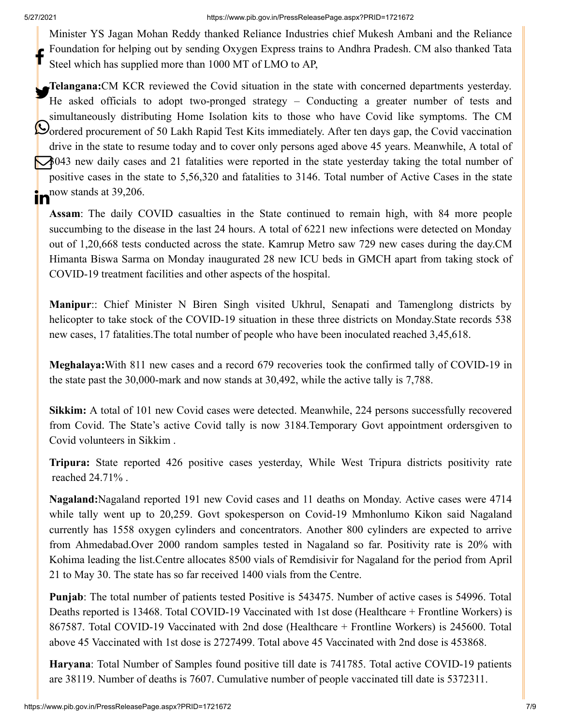Minister YS Jagan Mohan Reddy thanked Reliance Industries chief Mukesh Ambani and the Reliance Foundation for helping out by sending Oxygen Express trains to Andhra Pradesh. CM also thanked Tata Steel which has supplied more than 1000 MT of LMO to AP, f

**Telangana:**CM KCR reviewed the Covid situation in the state with concerned departments yesterday. He asked officials to adopt two-pronged strategy – Conducting a greater number of tests and simultaneously distributing Home Isolation kits to those who have Covid like symptoms. The CM Oordered procurement of 50 Lakh Rapid Test Kits immediately. After ten days gap, the Covid vaccination drive in the state to resume today and to cover only persons aged above 45 years. Meanwhile, A total of 3043 new daily cases and 21 fatalities were reported in the state yesterday taking the total number of positive cases in the state to 5,56,320 and fatalities to 3146. Total number of Active Cases in the state  $\mathbf{in}$ <sup>now stands at 39,206.</sup>

**Assam**: The daily COVID casualties in the State continued to remain high, with 84 more people succumbing to the disease in the last 24 hours. A total of 6221 new infections were detected on Monday out of 1,20,668 tests conducted across the state. Kamrup Metro saw 729 new cases during the day.CM Himanta Biswa Sarma on Monday inaugurated 28 new ICU beds in GMCH apart from taking stock of COVID-19 treatment facilities and other aspects of the hospital.

**Manipur**:: Chief Minister N Biren Singh visited Ukhrul, Senapati and Tamenglong districts by helicopter to take stock of the COVID-19 situation in these three districts on Monday.State records 538 new cases, 17 fatalities.The total number of people who have been inoculated reached 3,45,618.

**Meghalaya:**With 811 new cases and a record 679 recoveries took the confirmed tally of COVID-19 in the state past the 30,000-mark and now stands at 30,492, while the active tally is 7,788.

**Sikkim:** A total of 101 new Covid cases were detected. Meanwhile, 224 persons successfully recovered from Covid. The State's active Covid tally is now 3184.Temporary Govt appointment ordersgiven to Covid volunteers in Sikkim .

**Tripura:** State reported 426 positive cases yesterday, While West Tripura districts positivity rate reached 24.71% .

**Nagaland:**Nagaland reported 191 new Covid cases and 11 deaths on Monday. Active cases were 4714 while tally went up to 20,259. Govt spokesperson on Covid-19 Mmhonlumo Kikon said Nagaland currently has 1558 oxygen cylinders and concentrators. Another 800 cylinders are expected to arrive from Ahmedabad.Over 2000 random samples tested in Nagaland so far. Positivity rate is 20% with Kohima leading the list.Centre allocates 8500 vials of Remdisivir for Nagaland for the period from April 21 to May 30. The state has so far received 1400 vials from the Centre.

**Punjab**: The total number of patients tested Positive is 543475. Number of active cases is 54996. Total Deaths reported is 13468. Total COVID-19 Vaccinated with 1st dose (Healthcare + Frontline Workers) is 867587. Total COVID-19 Vaccinated with 2nd dose (Healthcare + Frontline Workers) is 245600. Total above 45 Vaccinated with 1st dose is 2727499. Total above 45 Vaccinated with 2nd dose is 453868.

**Haryana**: Total Number of Samples found positive till date is 741785. Total active COVID-19 patients are 38119. Number of deaths is 7607. Cumulative number of people vaccinated till date is 5372311.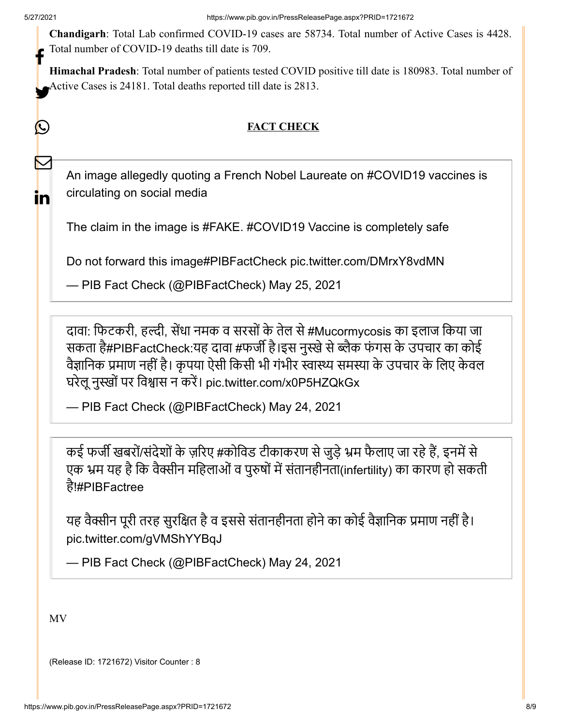<u>IV</u>

 $\bm{\nabla}$ 

in

**Chandigarh**: Total Lab confirmed COVID-19 cases are 58734. Total number of Active Cases is 4428. Total number of COVID-19 deaths till date is 709. f

**Himachal Pradesh**: Total number of patients tested COVID positive till date is 180983. Total number of Active Cases is 24181. Total deaths reported till date is 2813.

## **FACT CHECK**

An image allegedly quoting a French Nobel Laureate on [#COVID19](https://twitter.com/hashtag/COVID19?src=hash&ref_src=twsrc%5Etfw) vaccines is circulating on social media

The claim in the image is [#FAKE](https://twitter.com/hashtag/FAKE?src=hash&ref_src=twsrc%5Etfw). [#COVID19](https://twitter.com/hashtag/COVID19?src=hash&ref_src=twsrc%5Etfw) Vaccine is completely safe

Do not forward this image[#PIBFactCheck](https://twitter.com/hashtag/PIBFactCheck?src=hash&ref_src=twsrc%5Etfw) [pic.twitter.com/DMrxY8vdMN](https://t.co/DMrxY8vdMN)

— PIB Fact Check (@PIBFactCheck) [May 25, 2021](https://twitter.com/PIBFactCheck/status/1397156705918537729?ref_src=twsrc%5Etfw)

दावा: फिटकरी, हल्दी, सेंधा नमक व सरसों के तेल से [#Mucormycosis](https://twitter.com/hashtag/Mucormycosis?src=hash&ref_src=twsrc%5Etfw) का इलाज किया जा सकता है[#PIBFactCheck](https://twitter.com/hashtag/PIBFactCheck?src=hash&ref_src=twsrc%5Etfw):यह दावा #फर्जी है।इस नुस्खे से ब्लैक फंगस के उपचार का कोई वैज्ञानिक प्रमाण नहीं है। कृपया ऐसी किसी भी गंभीर स्वास्थ्य समस्या के उपचार के लिए केवल घरेलू नुस्खों पर विश्वास न करें। [pic.twitter.com/x0P5HZQkGx](https://t.co/x0P5HZQkGx)

— PIB Fact Check (@PIBFactCheck) [May 24, 2021](https://twitter.com/PIBFactCheck/status/1396778600741761030?ref_src=twsrc%5Etfw)

कई फर्जी खबरों/संदेशों के ज़रिए #कोविड टीकाकरण से जुड़े भ्रम फैलाए जा रहे हैं, इनमें से एक भ्रम यह है कि वैक्सीन महिलाओं व पुरुषों में संतानहीनता(infertility) का कारण हो सकती है[!#PIBFactree](https://twitter.com/hashtag/PIBFactree?src=hash&ref_src=twsrc%5Etfw)

यह वैक्सीन पूरी तरह सुरक्षित है व इससे संतानहीनता होने का कोई वैज्ञानिक प्रमाण नहीं है। [pic.twitter.com/gVMShYYBqJ](https://t.co/gVMShYYBqJ)

— PIB Fact Check (@PIBFactCheck) [May 24, 2021](https://twitter.com/PIBFactCheck/status/1396805590442119175?ref_src=twsrc%5Etfw)

MV

(Release ID: 1721672) Visitor Counter : 8